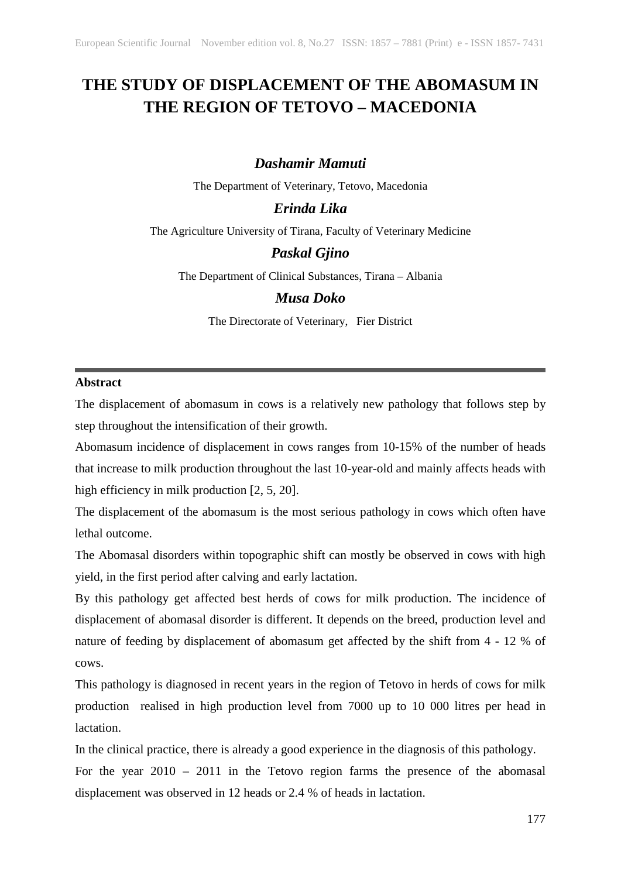# **THE STUDY OF DISPLACEMENT OF THE ABOMASUM IN THE REGION OF TETOVO – MACEDONIA**

# *Dashamir Mamuti*

The Department of Veterinary, Tetovo, Macedonia

# *Erinda Lika*

The Agriculture University of Tirana, Faculty of Veterinary Medicine

## *Paskal Gjino*

The Department of Clinical Substances, Tirana – Albania

# *Musa Doko*

The Directorate of Veterinary, Fier District

## **Abstract**

The displacement of abomasum in cows is a relatively new pathology that follows step by step throughout the intensification of their growth.

Abomasum incidence of displacement in cows ranges from 10-15% of the number of heads that increase to milk production throughout the last 10-year-old and mainly affects heads with high efficiency in milk production [2, 5, 20].

The displacement of the abomasum is the most serious pathology in cows which often have lethal outcome.

The Abomasal disorders within topographic shift can mostly be observed in cows with high yield, in the first period after calving and early lactation.

By this pathology get affected best herds of cows for milk production. The incidence of displacement of abomasal disorder is different. It depends on the breed, production level and nature of feeding by displacement of abomasum get affected by the shift from 4 - 12 % of cows.

This pathology is diagnosed in recent years in the region of Tetovo in herds of cows for milk production realised in high production level from 7000 up to 10 000 litres per head in lactation.

In the clinical practice, there is already a good experience in the diagnosis of this pathology.

For the year 2010 – 2011 in the Tetovo region farms the presence of the abomasal displacement was observed in 12 heads or 2.4 % of heads in lactation.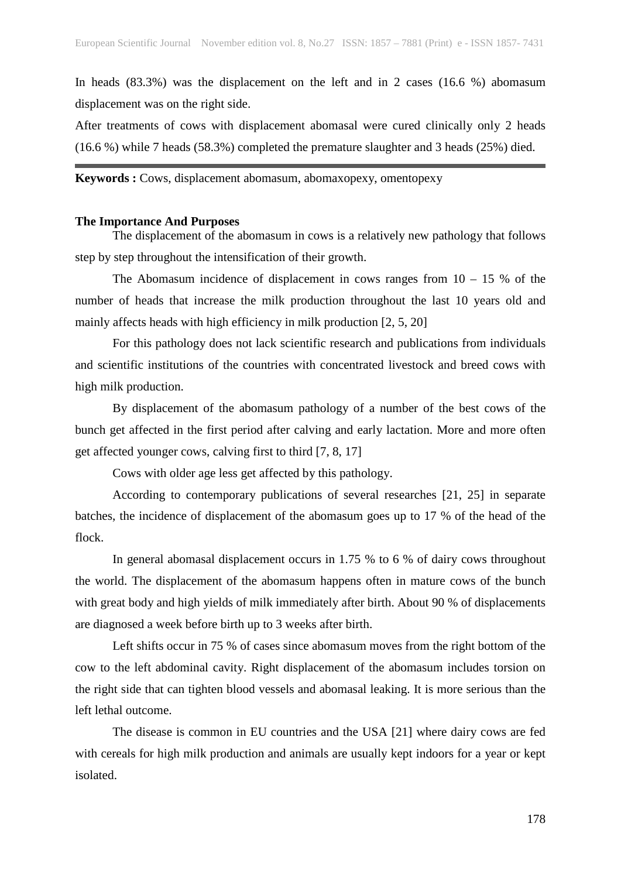In heads (83.3%) was the displacement on the left and in 2 cases (16.6 %) abomasum displacement was on the right side.

After treatments of cows with displacement abomasal were cured clinically only 2 heads (16.6 %) while 7 heads (58.3%) completed the premature slaughter and 3 heads (25%) died.

# **Keywords :** Cows, displacement abomasum, abomaxopexy, omentopexy

#### **The Importance And Purposes**

The displacement of the abomasum in cows is a relatively new pathology that follows step by step throughout the intensification of their growth.

The Abomasum incidence of displacement in cows ranges from  $10 - 15$  % of the number of heads that increase the milk production throughout the last 10 years old and mainly affects heads with high efficiency in milk production [2, 5, 20]

For this pathology does not lack scientific research and publications from individuals and scientific institutions of the countries with concentrated livestock and breed cows with high milk production.

By displacement of the abomasum pathology of a number of the best cows of the bunch get affected in the first period after calving and early lactation. More and more often get affected younger cows, calving first to third [7, 8, 17]

Cows with older age less get affected by this pathology.

According to contemporary publications of several researches [21, 25] in separate batches, the incidence of displacement of the abomasum goes up to 17 % of the head of the flock.

In general abomasal displacement occurs in 1.75 % to 6 % of dairy cows throughout the world. The displacement of the abomasum happens often in mature cows of the bunch with great body and high yields of milk immediately after birth. About 90 % of displacements are diagnosed a week before birth up to 3 weeks after birth.

Left shifts occur in 75 % of cases since abomasum moves from the right bottom of the cow to the left abdominal cavity. Right displacement of the abomasum includes torsion on the right side that can tighten blood vessels and abomasal leaking. It is more serious than the left lethal outcome.

The disease is common in EU countries and the USA [21] where dairy cows are fed with cereals for high milk production and animals are usually kept indoors for a year or kept isolated.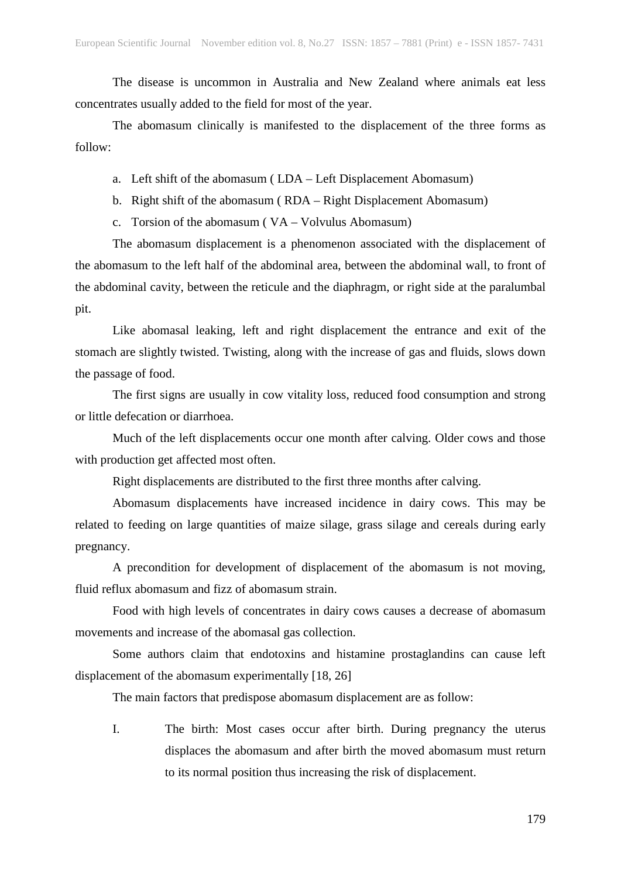The disease is uncommon in Australia and New Zealand where animals eat less concentrates usually added to the field for most of the year.

The abomasum clinically is manifested to the displacement of the three forms as follow:

- a. Left shift of the abomasum ( LDA Left Displacement Abomasum)
- b. Right shift of the abomasum ( RDA Right Displacement Abomasum)
- c. Torsion of the abomasum ( VA Volvulus Abomasum)

The abomasum displacement is a phenomenon associated with the displacement of the abomasum to the left half of the abdominal area, between the abdominal wall, to front of the abdominal cavity, between the reticule and the diaphragm, or right side at the paralumbal pit.

Like abomasal leaking, left and right displacement the entrance and exit of the stomach are slightly twisted. Twisting, along with the increase of gas and fluids, slows down the passage of food.

The first signs are usually in cow vitality loss, reduced food consumption and strong or little defecation or diarrhoea.

Much of the left displacements occur one month after calving. Older cows and those with production get affected most often.

Right displacements are distributed to the first three months after calving.

Abomasum displacements have increased incidence in dairy cows. This may be related to feeding on large quantities of maize silage, grass silage and cereals during early pregnancy.

A precondition for development of displacement of the abomasum is not moving, fluid reflux abomasum and fizz of abomasum strain.

Food with high levels of concentrates in dairy cows causes a decrease of abomasum movements and increase of the abomasal gas collection.

Some authors claim that endotoxins and histamine prostaglandins can cause left displacement of the abomasum experimentally [18, 26]

The main factors that predispose abomasum displacement are as follow:

I. The birth: Most cases occur after birth. During pregnancy the uterus displaces the abomasum and after birth the moved abomasum must return to its normal position thus increasing the risk of displacement.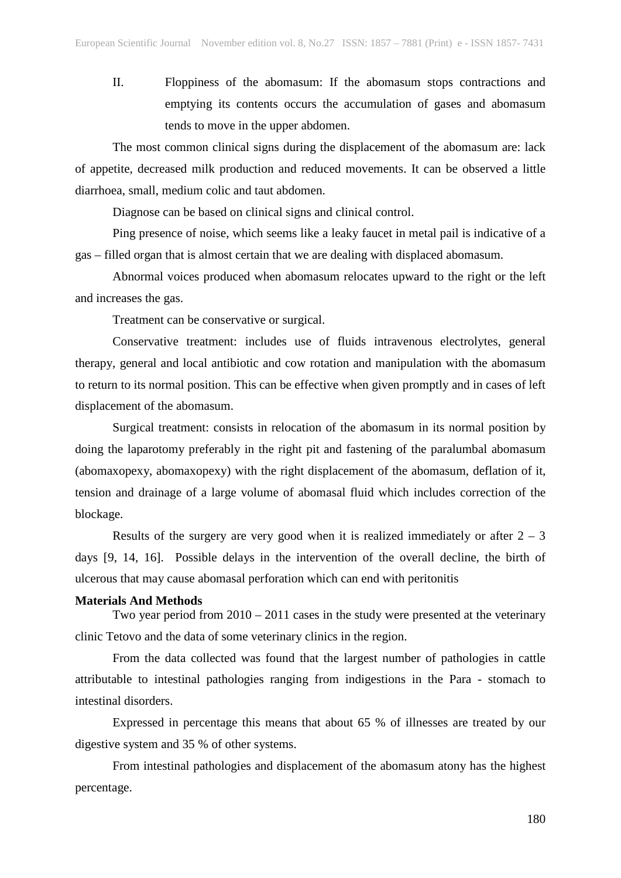II. Floppiness of the abomasum: If the abomasum stops contractions and emptying its contents occurs the accumulation of gases and abomasum tends to move in the upper abdomen.

The most common clinical signs during the displacement of the abomasum are: lack of appetite, decreased milk production and reduced movements. It can be observed a little diarrhoea, small, medium colic and taut abdomen.

Diagnose can be based on clinical signs and clinical control.

Ping presence of noise, which seems like a leaky faucet in metal pail is indicative of a gas – filled organ that is almost certain that we are dealing with displaced abomasum.

Abnormal voices produced when abomasum relocates upward to the right or the left and increases the gas.

Treatment can be conservative or surgical.

Conservative treatment: includes use of fluids intravenous electrolytes, general therapy, general and local antibiotic and cow rotation and manipulation with the abomasum to return to its normal position. This can be effective when given promptly and in cases of left displacement of the abomasum.

Surgical treatment: consists in relocation of the abomasum in its normal position by doing the laparotomy preferably in the right pit and fastening of the paralumbal abomasum (abomaxopexy, abomaxopexy) with the right displacement of the abomasum, deflation of it, tension and drainage of a large volume of abomasal fluid which includes correction of the blockage.

Results of the surgery are very good when it is realized immediately or after  $2 - 3$ days [9, 14, 16]. Possible delays in the intervention of the overall decline, the birth of ulcerous that may cause abomasal perforation which can end with peritonitis

### **Materials And Methods**

Two year period from 2010 – 2011 cases in the study were presented at the veterinary clinic Tetovo and the data of some veterinary clinics in the region.

From the data collected was found that the largest number of pathologies in cattle attributable to intestinal pathologies ranging from indigestions in the Para - stomach to intestinal disorders.

Expressed in percentage this means that about 65 % of illnesses are treated by our digestive system and 35 % of other systems.

From intestinal pathologies and displacement of the abomasum atony has the highest percentage.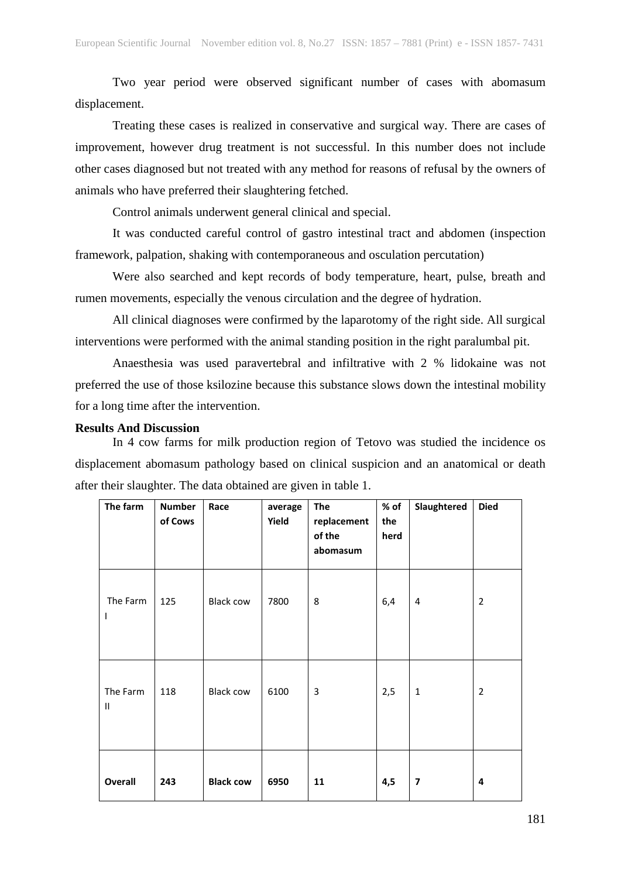Two year period were observed significant number of cases with abomasum displacement.

Treating these cases is realized in conservative and surgical way. There are cases of improvement, however drug treatment is not successful. In this number does not include other cases diagnosed but not treated with any method for reasons of refusal by the owners of animals who have preferred their slaughtering fetched.

Control animals underwent general clinical and special.

It was conducted careful control of gastro intestinal tract and abdomen (inspection framework, palpation, shaking with contemporaneous and osculation percutation)

Were also searched and kept records of body temperature, heart, pulse, breath and rumen movements, especially the venous circulation and the degree of hydration.

All clinical diagnoses were confirmed by the laparotomy of the right side. All surgical interventions were performed with the animal standing position in the right paralumbal pit.

Anaesthesia was used paravertebral and infiltrative with 2 % lidokaine was not preferred the use of those ksilozine because this substance slows down the intestinal mobility for a long time after the intervention.

## **Results And Discussion**

In 4 cow farms for milk production region of Tetovo was studied the incidence os displacement abomasum pathology based on clinical suspicion and an anatomical or death after their slaughter. The data obtained are given in table 1.

| The farm                  | <b>Number</b><br>of Cows | Race             | average<br>Yield | <b>The</b><br>replacement<br>of the<br>abomasum | % of<br>the<br>herd | Slaughtered  | <b>Died</b>    |
|---------------------------|--------------------------|------------------|------------------|-------------------------------------------------|---------------------|--------------|----------------|
| The Farm<br>I             | 125                      | <b>Black cow</b> | 7800             | 8                                               | 6,4                 | 4            | $\overline{2}$ |
| The Farm<br>$\mathsf{II}$ | 118                      | <b>Black cow</b> | 6100             | 3                                               | 2,5                 | $\mathbf{1}$ | $\overline{2}$ |
| <b>Overall</b>            | 243                      | <b>Black cow</b> | 6950             | 11                                              | 4,5                 | 7            | 4              |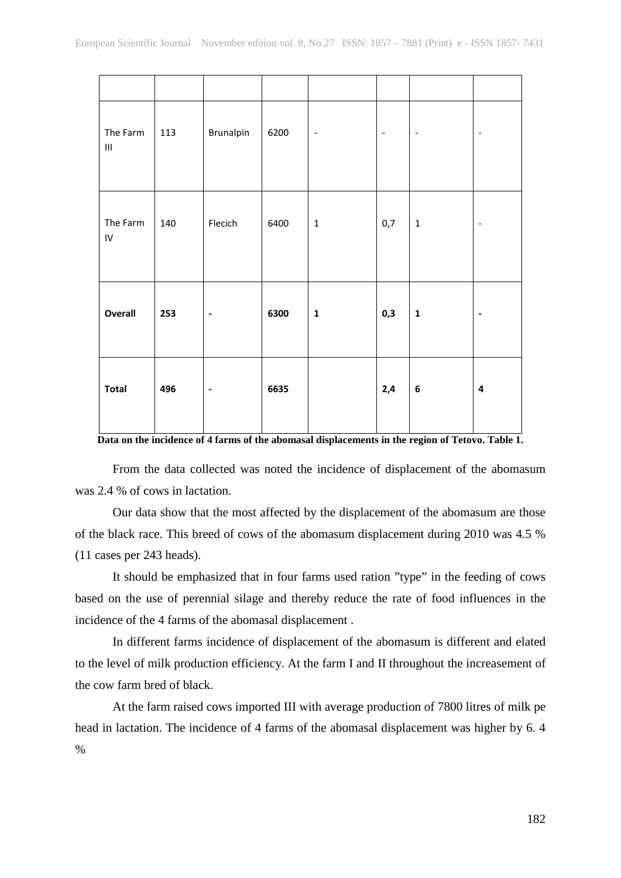| The Farm<br>$\ensuremath{\mathsf{III}}\xspace$ | 113 | Brunalpin                | 6200 | $\overline{\phantom{a}}$ | $\overline{\phantom{a}}$ | $\qquad \qquad \blacksquare$ | $\overline{\phantom{0}}$ |
|------------------------------------------------|-----|--------------------------|------|--------------------------|--------------------------|------------------------------|--------------------------|
| The Farm<br>${\sf IV}$                         | 140 | Flecich                  | 6400 | $\mathbf 1$              | 0,7                      | $\mathbf 1$                  | $\overline{\phantom{a}}$ |
| Overall                                        | 253 | $\overline{\phantom{a}}$ | 6300 | $\mathbf 1$              | 0,3                      | $\mathbf 1$                  | $\blacksquare$           |
| <b>Total</b>                                   | 496 | $\blacksquare$           | 6635 |                          | 2,4                      | $\bf 6$                      | $\overline{\mathbf{4}}$  |

**Data on the incidence of 4 farms of the abomasal displacements in the region of Tetovo. Table 1.**

From the data collected was noted the incidence of displacement of the abomasum was 2.4 % of cows in lactation.

Our data show that the most affected by the displacement of the abomasum are those of the black race. This breed of cows of the abomasum displacement during 2010 was 4.5 % (11 cases per 243 heads).

It should be emphasized that in four farms used ration "type" in the feeding of cows based on the use of perennial silage and thereby reduce the rate of food influences in the incidence of the 4 farms of the abomasal displacement .

In different farms incidence of displacement of the abomasum is different and elated to the level of milk production efficiency. At the farm I and II throughout the increasement of the cow farm bred of black.

At the farm raised cows imported III with average production of 7800 litres of milk pe head in lactation. The incidence of 4 farms of the abomasal displacement was higher by 6. 4 %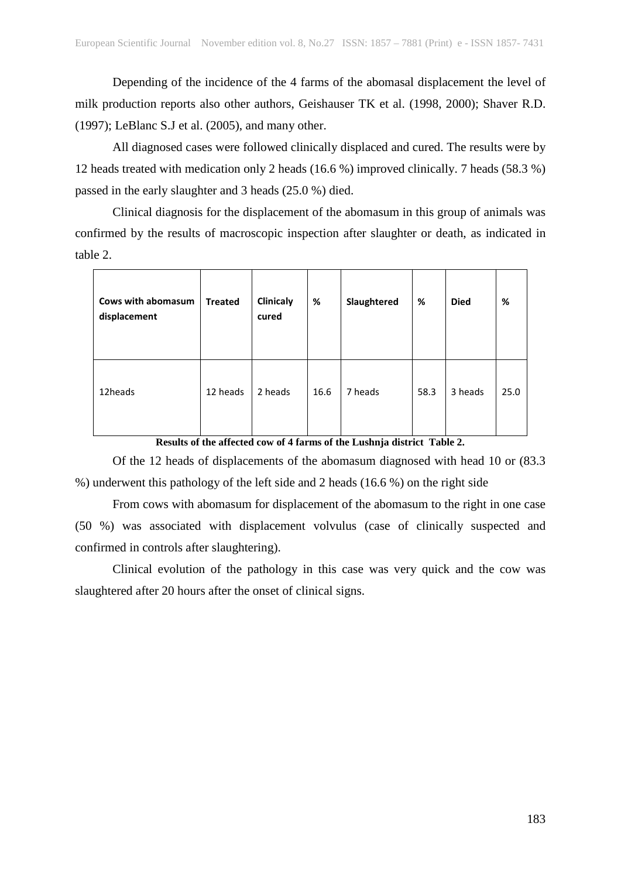Depending of the incidence of the 4 farms of the abomasal displacement the level of milk production reports also other authors, Geishauser TK et al. (1998, 2000); Shaver R.D. (1997); LeBlanc S.J et al. (2005), and many other.

All diagnosed cases were followed clinically displaced and cured. The results were by 12 heads treated with medication only 2 heads (16.6 %) improved clinically. 7 heads (58.3 %) passed in the early slaughter and 3 heads (25.0 %) died.

Clinical diagnosis for the displacement of the abomasum in this group of animals was confirmed by the results of macroscopic inspection after slaughter or death, as indicated in table 2.

| Cows with abomasum<br>displacement | <b>Treated</b> | Clinicaly<br>cured | %    | Slaughtered | %    | <b>Died</b> | %    |
|------------------------------------|----------------|--------------------|------|-------------|------|-------------|------|
| 12heads                            | 12 heads       | 2 heads            | 16.6 | 7 heads     | 58.3 | 3 heads     | 25.0 |

**Results of the affected cow of 4 farms of the Lushnja district Table 2.**

Of the 12 heads of displacements of the abomasum diagnosed with head 10 or (83.3 %) underwent this pathology of the left side and 2 heads (16.6 %) on the right side

From cows with abomasum for displacement of the abomasum to the right in one case (50 %) was associated with displacement volvulus (case of clinically suspected and confirmed in controls after slaughtering).

Clinical evolution of the pathology in this case was very quick and the cow was slaughtered after 20 hours after the onset of clinical signs.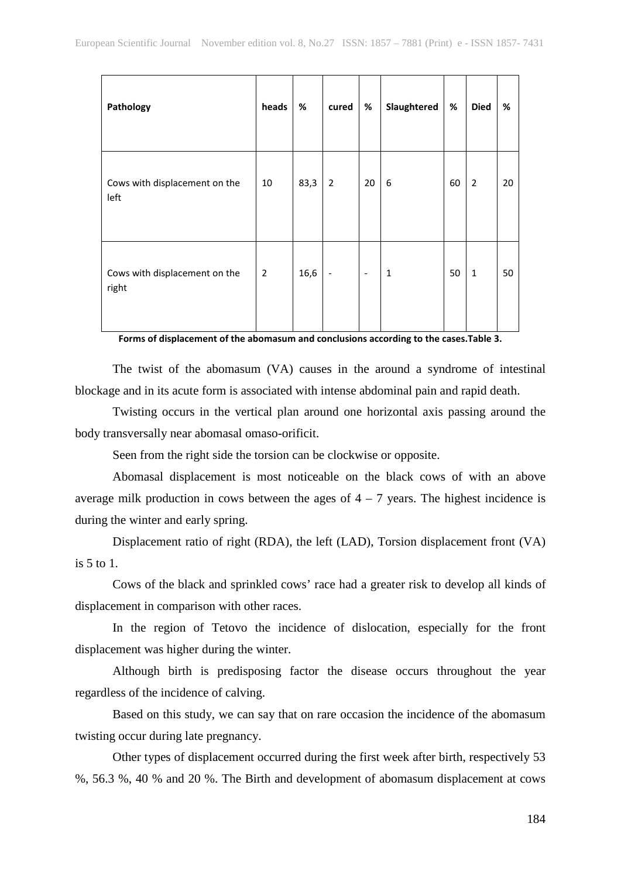| Pathology                              | heads          | $\%$ | cured                    | $\%$                     | Slaughtered  | %  | <b>Died</b>    | %  |
|----------------------------------------|----------------|------|--------------------------|--------------------------|--------------|----|----------------|----|
| Cows with displacement on the<br>left  | 10             | 83,3 | 2                        | 20                       | 6            | 60 | $\overline{2}$ | 20 |
| Cows with displacement on the<br>right | $\overline{2}$ | 16,6 | $\overline{\phantom{a}}$ | $\overline{\phantom{a}}$ | $\mathbf{1}$ | 50 | $\mathbf{1}$   | 50 |

**Forms of displacement of the abomasum and conclusions according to the cases.Table 3.**

The twist of the abomasum (VA) causes in the around a syndrome of intestinal blockage and in its acute form is associated with intense abdominal pain and rapid death.

Twisting occurs in the vertical plan around one horizontal axis passing around the body transversally near abomasal omaso-orificit.

Seen from the right side the torsion can be clockwise or opposite.

Abomasal displacement is most noticeable on the black cows of with an above average milk production in cows between the ages of  $4 - 7$  years. The highest incidence is during the winter and early spring.

Displacement ratio of right (RDA), the left (LAD), Torsion displacement front (VA) is 5 to 1.

Cows of the black and sprinkled cows' race had a greater risk to develop all kinds of displacement in comparison with other races.

In the region of Tetovo the incidence of dislocation, especially for the front displacement was higher during the winter.

Although birth is predisposing factor the disease occurs throughout the year regardless of the incidence of calving.

Based on this study, we can say that on rare occasion the incidence of the abomasum twisting occur during late pregnancy.

Other types of displacement occurred during the first week after birth, respectively 53 %, 56.3 %, 40 % and 20 %. The Birth and development of abomasum displacement at cows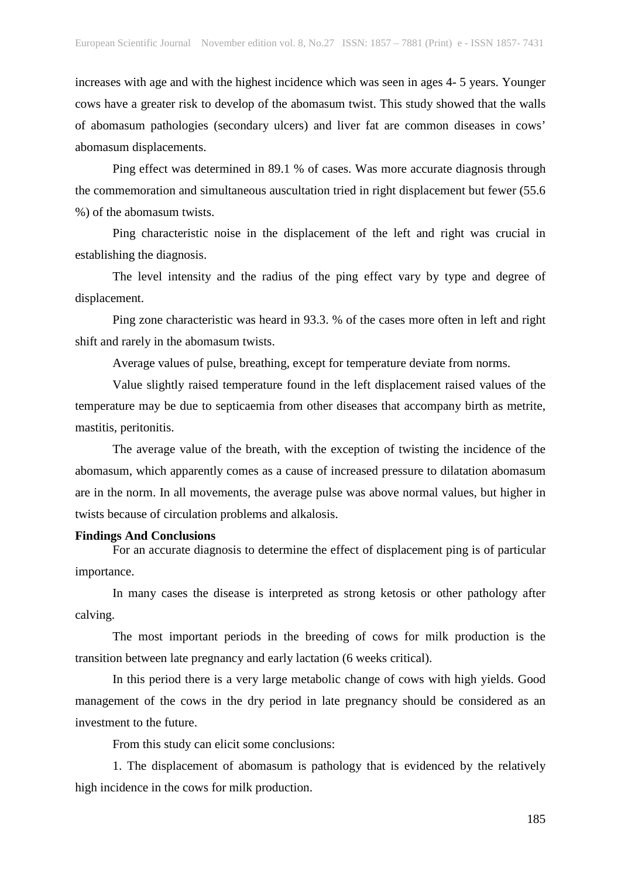increases with age and with the highest incidence which was seen in ages 4- 5 years. Younger cows have a greater risk to develop of the abomasum twist. This study showed that the walls of abomasum pathologies (secondary ulcers) and liver fat are common diseases in cows' abomasum displacements.

Ping effect was determined in 89.1 % of cases. Was more accurate diagnosis through the commemoration and simultaneous auscultation tried in right displacement but fewer (55.6 %) of the abomasum twists.

Ping characteristic noise in the displacement of the left and right was crucial in establishing the diagnosis.

The level intensity and the radius of the ping effect vary by type and degree of displacement.

Ping zone characteristic was heard in 93.3. % of the cases more often in left and right shift and rarely in the abomasum twists.

Average values of pulse, breathing, except for temperature deviate from norms.

Value slightly raised temperature found in the left displacement raised values of the temperature may be due to septicaemia from other diseases that accompany birth as metrite, mastitis, peritonitis.

The average value of the breath, with the exception of twisting the incidence of the abomasum, which apparently comes as a cause of increased pressure to dilatation abomasum are in the norm. In all movements, the average pulse was above normal values, but higher in twists because of circulation problems and alkalosis.

#### **Findings And Conclusions**

For an accurate diagnosis to determine the effect of displacement ping is of particular importance.

In many cases the disease is interpreted as strong ketosis or other pathology after calving.

The most important periods in the breeding of cows for milk production is the transition between late pregnancy and early lactation (6 weeks critical).

In this period there is a very large metabolic change of cows with high yields. Good management of the cows in the dry period in late pregnancy should be considered as an investment to the future.

From this study can elicit some conclusions:

1. The displacement of abomasum is pathology that is evidenced by the relatively high incidence in the cows for milk production.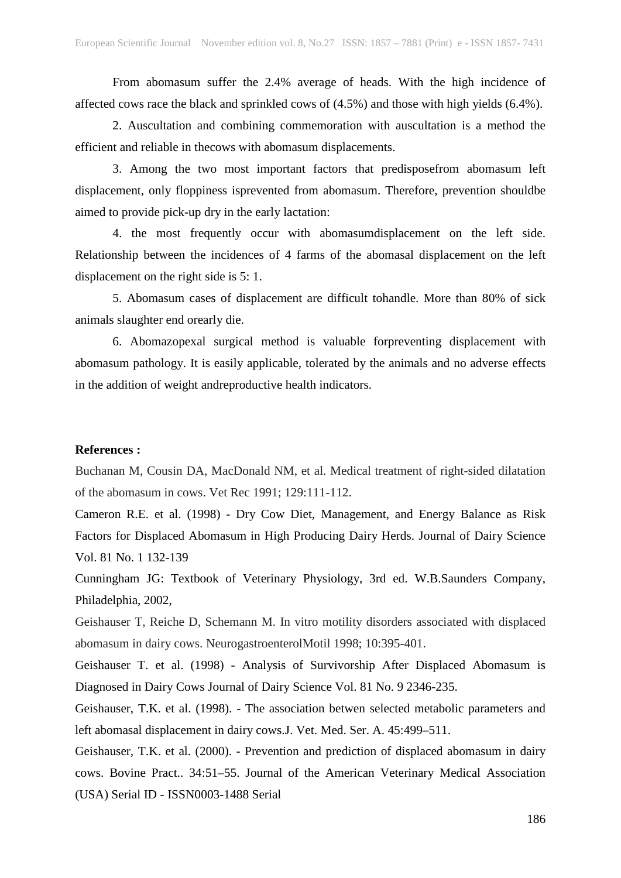From abomasum suffer the 2.4% average of heads. With the high incidence of affected cows race the black and sprinkled cows of (4.5%) and those with high yields (6.4%).

2. Auscultation and combining commemoration with auscultation is a method the efficient and reliable in thecows with abomasum displacements.

3. Among the two most important factors that predisposefrom abomasum left displacement, only floppiness isprevented from abomasum. Therefore, prevention shouldbe aimed to provide pick-up dry in the early lactation:

4. the most frequently occur with abomasumdisplacement on the left side. Relationship between the incidences of 4 farms of the abomasal displacement on the left displacement on the right side is 5: 1.

5. Abomasum cases of displacement are difficult tohandle. More than 80% of sick animals slaughter end orearly die.

6. Abomazopexal surgical method is valuable forpreventing displacement with abomasum pathology. It is easily applicable, tolerated by the animals and no adverse effects in the addition of weight andreproductive health indicators.

## **References :**

Buchanan M, Cousin DA, MacDonald NM, et al. Medical treatment of right-sided dilatation of the abomasum in cows. Vet Rec 1991; 129:111-112.

Cameron R.E. et al. (1998) - Dry Cow Diet, Management, and Energy Balance as Risk Factors for Displaced Abomasum in High Producing Dairy Herds. Journal of Dairy Science Vol. 81 No. 1 132-139

Cunningham JG: Textbook of Veterinary Physiology, 3rd ed. W.B.Saunders Company, Philadelphia, 2002,

Geishauser T, Reiche D, Schemann M. In vitro motility disorders associated with displaced abomasum in dairy cows. NeurogastroenterolMotil 1998; 10:395-401.

Geishauser T. et al. (1998) - Analysis of Survivorship After Displaced Abomasum is Diagnosed in Dairy Cows Journal of Dairy Science Vol. 81 No. 9 2346-235.

Geishauser, T.K. et al. (1998). - The association betwen selected metabolic parameters and left abomasal displacement in dairy cows.J. Vet. Med. Ser. A. 45:499–511.

Geishauser, T.K. et al. (2000). - Prevention and prediction of displaced abomasum in dairy cows. Bovine Pract.. 34:51–55. Journal of the American Veterinary Medical Association (USA) Serial ID - ISSN0003-1488 Serial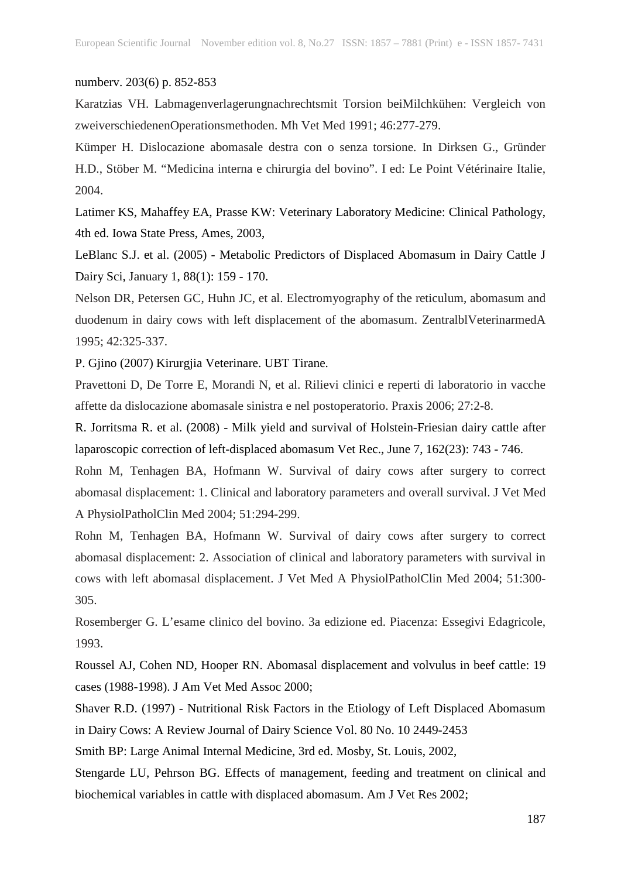#### numberv. 203(6) p. 852-853

Karatzias VH. Labmagenverlagerungnachrechtsmit Torsion beiMilchkühen: Vergleich von zweiverschiedenenOperationsmethoden. Mh Vet Med 1991; 46:277-279.

Kümper H. Dislocazione abomasale destra con o senza torsione. In Dirksen G., Gründer H.D., Stöber M. "Medicina interna e chirurgia del bovino". I ed: Le Point Vétérinaire Italie, 2004.

Latimer KS, Mahaffey EA, Prasse KW: Veterinary Laboratory Medicine: Clinical Pathology, 4th ed. Iowa State Press, Ames, 2003,

LeBlanc S.J. et al. (2005) - Metabolic Predictors of Displaced Abomasum in Dairy Cattle J Dairy Sci, January 1, 88(1): 159 - 170.

Nelson DR, Petersen GC, Huhn JC, et al. Electromyography of the reticulum, abomasum and duodenum in dairy cows with left displacement of the abomasum. ZentralblVeterinarmedA 1995; 42:325-337.

P. Gjino (2007) Kirurgjia Veterinare. UBT Tirane.

Pravettoni D, De Torre E, Morandi N, et al. Rilievi clinici e reperti di laboratorio in vacche affette da dislocazione abomasale sinistra e nel postoperatorio. Praxis 2006; 27:2-8.

R. Jorritsma R. et al. (2008) - Milk yield and survival of Holstein-Friesian dairy cattle after laparoscopic correction of left-displaced abomasum Vet Rec., June 7, 162(23): 743 - 746.

Rohn M, Tenhagen BA, Hofmann W. Survival of dairy cows after surgery to correct abomasal displacement: 1. Clinical and laboratory parameters and overall survival. J Vet Med A PhysiolPatholClin Med 2004; 51:294-299.

Rohn M, Tenhagen BA, Hofmann W. Survival of dairy cows after surgery to correct abomasal displacement: 2. Association of clinical and laboratory parameters with survival in cows with left abomasal displacement. J Vet Med A PhysiolPatholClin Med 2004; 51:300- 305.

Rosemberger G. L'esame clinico del bovino. 3a edizione ed. Piacenza: Essegivi Edagricole, 1993.

Roussel AJ, Cohen ND, Hooper RN. Abomasal displacement and volvulus in beef cattle: 19 cases (1988-1998). J Am Vet Med Assoc 2000;

Shaver R.D. (1997) - Nutritional Risk Factors in the Etiology of Left Displaced Abomasum in Dairy Cows: A Review Journal of Dairy Science Vol. 80 No. 10 2449-2453

Smith BP: Large Animal Internal Medicine, 3rd ed. Mosby, St. Louis, 2002,

Stengarde LU, Pehrson BG. Effects of management, feeding and treatment on clinical and biochemical variables in cattle with displaced abomasum. Am J Vet Res 2002;